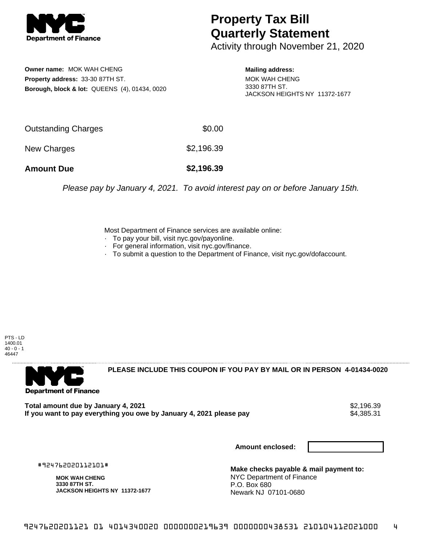

## **Property Tax Bill Quarterly Statement**

Activity through November 21, 2020

**Owner name:** MOK WAH CHENG **Property address:** 33-30 87TH ST. **Borough, block & lot:** QUEENS (4), 01434, 0020 **Mailing address:**

MOK WAH CHENG 3330 87TH ST. JACKSON HEIGHTS NY 11372-1677

| <b>Amount Due</b>   | \$2,196.39 |
|---------------------|------------|
| New Charges         | \$2,196.39 |
| Outstanding Charges | \$0.00     |

Please pay by January 4, 2021. To avoid interest pay on or before January 15th.

Most Department of Finance services are available online:

- · To pay your bill, visit nyc.gov/payonline.
- For general information, visit nyc.gov/finance.
- · To submit a question to the Department of Finance, visit nyc.gov/dofaccount.

PTS - LD 1400.01  $40 - 0 - 1$ 46447



**PLEASE INCLUDE THIS COUPON IF YOU PAY BY MAIL OR IN PERSON 4-01434-0020** 

**Total amount due by January 4, 2021**<br>If you want to pay everything you owe by January 4, 2021 please pay **strategy of the Superior August** \$4,385.31 If you want to pay everything you owe by January 4, 2021 please pay

**Amount enclosed:**

#924762020112101#

**MOK WAH CHENG 3330 87TH ST. JACKSON HEIGHTS NY 11372-1677**

**Make checks payable & mail payment to:** NYC Department of Finance P.O. Box 680 Newark NJ 07101-0680